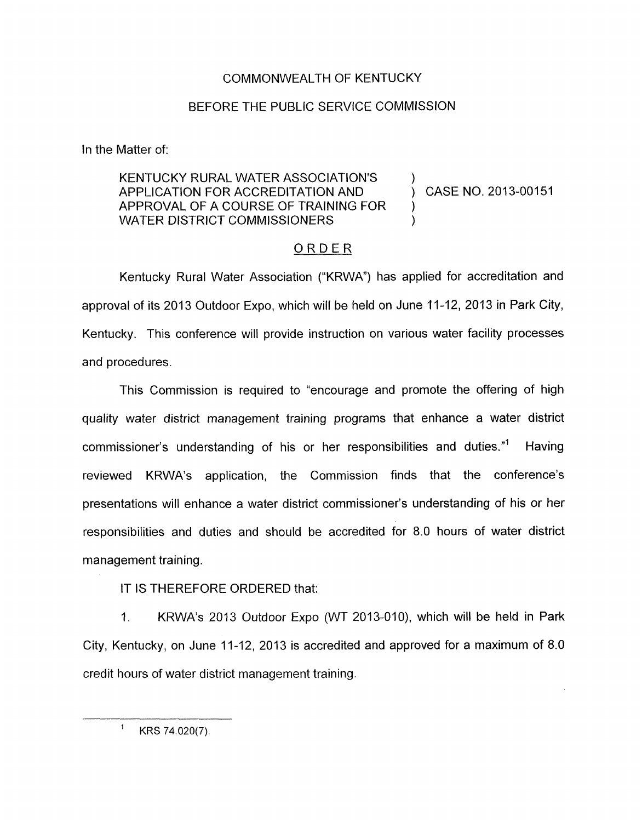## COMMONWEALTH OF KENTUCKY

## BEFORE THE PUBLIC SERVICE COMMISSION

In the Matter of:

## KENTUCKY RURAL WATER ASSOCIATION'S ) APPLICATION FOR ACCREDITATION AND ) CASE NO. 2013-00151 APPROVAL OF A COURSE OF TRAINING FOR WATER DISTRICT COMMISSIONERS

)

## ORDER

Kentucky Rural Water Association ("KRWA") has applied for accreditation and approval of its 2013 Outdoor Expo, which will be held on June 11-12, 2013 in Park City, Kentucky. This conference will provide instruction on various water facility processes and procedures.

This Commission is required to "encourage and promote the offering of high quality water district management training programs that enhance a water district commissioner's understanding of his or her responsibilities and duties."' Having reviewed KRWA's application, the Commission finds that the conference's presentations will enhance a water district commissioner's understanding of his or her responsibilities and duties and should be accredited for 8.0 hours of water district management training.

IT IS THEREFORE ORDERED that:

1. KRWA's 2013 Outdoor Expo (WT 2013-OIO), which will be held in Park City, Kentucky, on June 11-12, 2013 is accredited and approved for a maximum of 8.0 credit hours of water district management training.

 $1$  KRS 74.020(7).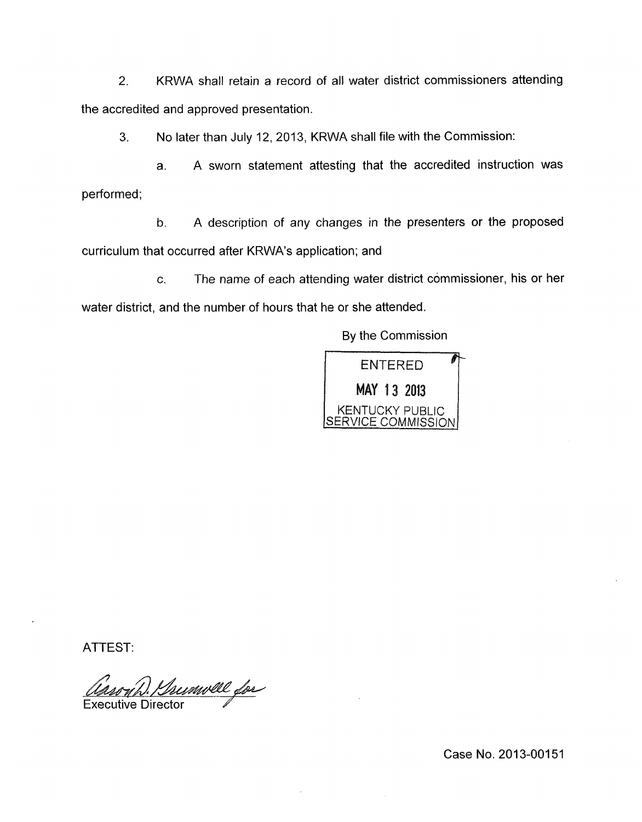2. KRWA shall retain a record of all water district commissioners attending the accredited and approved presentation.

*3.* No later than July 12, 2013, KRWA shall file with the Commission:

a. A sworn statement attesting that the accredited instruction was performed;

b. A description of any changes in the presenters or the proposed curriculum that occurred after KRWA's application; and

c. The name of each attending water district commissioner, his or her water district, and the number of hours that he or she attended.

By the Commission



ATTEST:

Trumvell for **Executive Director** 

Case No. 2013-00151